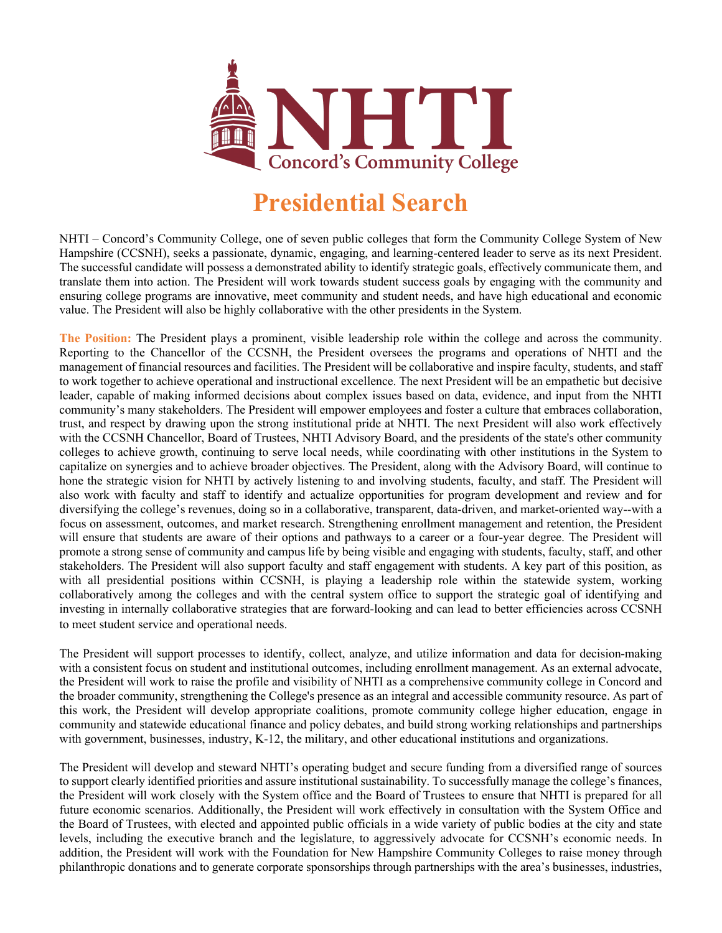

## **Presidential Search**

NHTI – Concord's Community College, one of seven public colleges that form the Community College System of New Hampshire (CCSNH), seeks a passionate, dynamic, engaging, and learning-centered leader to serve as its next President. The successful candidate will possess a demonstrated ability to identify strategic goals, effectively communicate them, and translate them into action. The President will work towards student success goals by engaging with the community and ensuring college programs are innovative, meet community and student needs, and have high educational and economic value. The President will also be highly collaborative with the other presidents in the System.

**The Position:** The President plays a prominent, visible leadership role within the college and across the community. Reporting to the Chancellor of the CCSNH, the President oversees the programs and operations of NHTI and the management of financial resources and facilities. The President will be collaborative and inspire faculty, students, and staff to work together to achieve operational and instructional excellence. The next President will be an empathetic but decisive leader, capable of making informed decisions about complex issues based on data, evidence, and input from the NHTI community's many stakeholders. The President will empower employees and foster a culture that embraces collaboration, trust, and respect by drawing upon the strong institutional pride at NHTI. The next President will also work effectively with the CCSNH Chancellor, Board of Trustees, NHTI Advisory Board, and the presidents of the state's other community colleges to achieve growth, continuing to serve local needs, while coordinating with other institutions in the System to capitalize on synergies and to achieve broader objectives. The President, along with the Advisory Board, will continue to hone the strategic vision for NHTI by actively listening to and involving students, faculty, and staff. The President will also work with faculty and staff to identify and actualize opportunities for program development and review and for diversifying the college's revenues, doing so in a collaborative, transparent, data-driven, and market-oriented way--with a focus on assessment, outcomes, and market research. Strengthening enrollment management and retention, the President will ensure that students are aware of their options and pathways to a career or a four-year degree. The President will promote a strong sense of community and campus life by being visible and engaging with students, faculty, staff, and other stakeholders. The President will also support faculty and staff engagement with students. A key part of this position, as with all presidential positions within CCSNH, is playing a leadership role within the statewide system, working collaboratively among the colleges and with the central system office to support the strategic goal of identifying and investing in internally collaborative strategies that are forward-looking and can lead to better efficiencies across CCSNH to meet student service and operational needs.

The President will support processes to identify, collect, analyze, and utilize information and data for decision-making with a consistent focus on student and institutional outcomes, including enrollment management. As an external advocate, the President will work to raise the profile and visibility of NHTI as a comprehensive community college in Concord and the broader community, strengthening the College's presence as an integral and accessible community resource. As part of this work, the President will develop appropriate coalitions, promote community college higher education, engage in community and statewide educational finance and policy debates, and build strong working relationships and partnerships with government, businesses, industry, K-12, the military, and other educational institutions and organizations.

The President will develop and steward NHTI's operating budget and secure funding from a diversified range of sources to support clearly identified priorities and assure institutional sustainability. To successfully manage the college's finances, the President will work closely with the System office and the Board of Trustees to ensure that NHTI is prepared for all future economic scenarios. Additionally, the President will work effectively in consultation with the System Office and the Board of Trustees, with elected and appointed public officials in a wide variety of public bodies at the city and state levels, including the executive branch and the legislature, to aggressively advocate for CCSNH's economic needs. In addition, the President will work with the Foundation for New Hampshire Community Colleges to raise money through philanthropic donations and to generate corporate sponsorships through partnerships with the area's businesses, industries,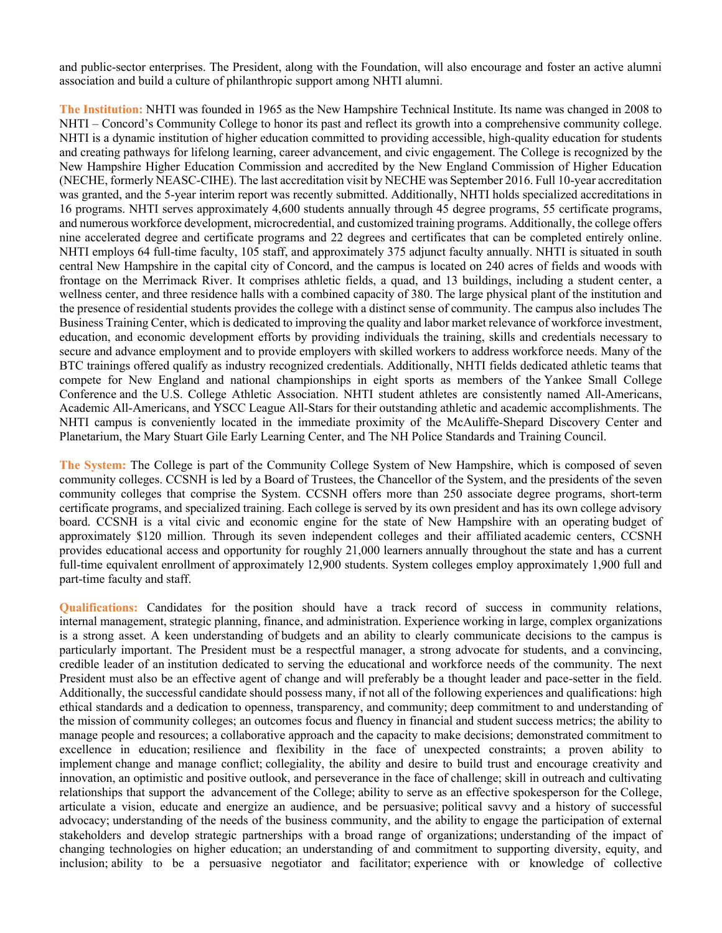and public-sector enterprises. The President, along with the Foundation, will also encourage and foster an active alumni association and build a culture of philanthropic support among NHTI alumni.

**The Institution:** NHTI was founded in 1965 as the New Hampshire Technical Institute. Its name was changed in 2008 to NHTI – Concord's Community College to honor its past and reflect its growth into a comprehensive community college. NHTI is a dynamic institution of higher education committed to providing accessible, high-quality education for students and creating pathways for lifelong learning, career advancement, and civic engagement. The College is recognized by the New Hampshire Higher Education Commission and accredited by the New England Commission of Higher Education (NECHE, formerly NEASC-CIHE). The last accreditation visit by NECHE was September 2016. Full 10-year accreditation was granted, and the 5-year interim report was recently submitted. Additionally, NHTI holds specialized accreditations in 16 programs. NHTI serves approximately 4,600 students annually through 45 degree programs, 55 certificate programs, and numerous workforce development, microcredential, and customized training programs. Additionally, the college offers nine accelerated degree and certificate programs and 22 degrees and certificates that can be completed entirely online. NHTI employs 64 full-time faculty, 105 staff, and approximately 375 adjunct faculty annually. NHTI is situated in south central New Hampshire in the capital city of Concord, and the campus is located on 240 acres of fields and woods with frontage on the Merrimack River. It comprises athletic fields, a quad, and 13 buildings, including a student center, a wellness center, and three residence halls with a combined capacity of 380. The large physical plant of the institution and the presence of residential students provides the college with a distinct sense of community. The campus also includes The Business Training Center, which is dedicated to improving the quality and labor market relevance of workforce investment, education, and economic development efforts by providing individuals the training, skills and credentials necessary to secure and advance employment and to provide employers with skilled workers to address workforce needs. Many of the BTC trainings offered qualify as industry recognized credentials. Additionally, NHTI fields dedicated athletic teams that compete for New England and national championships in eight sports as members of the Yankee Small College Conference and the U.S. College Athletic Association. NHTI student athletes are consistently named All-Americans, Academic All-Americans, and YSCC League All-Stars for their outstanding athletic and academic accomplishments. The NHTI campus is conveniently located in the immediate proximity of the McAuliffe-Shepard Discovery Center and Planetarium, the Mary Stuart Gile Early Learning Center, and The NH Police Standards and Training Council.

**The System:** The College is part of the Community College System of New Hampshire, which is composed of seven community colleges. CCSNH is led by a Board of Trustees, the Chancellor of the System, and the presidents of the seven community colleges that comprise the System. CCSNH offers more than 250 associate degree programs, short-term certificate programs, and specialized training. Each college is served by its own president and has its own college advisory board. CCSNH is a vital civic and economic engine for the state of New Hampshire with an operating budget of approximately \$120 million. Through its seven independent colleges and their affiliated academic centers, CCSNH provides educational access and opportunity for roughly 21,000 learners annually throughout the state and has a current full-time equivalent enrollment of approximately 12,900 students. System colleges employ approximately 1,900 full and part-time faculty and staff.

**Qualifications:** Candidates for the position should have a track record of success in community relations, internal management, strategic planning, finance, and administration. Experience working in large, complex organizations is a strong asset. A keen understanding of budgets and an ability to clearly communicate decisions to the campus is particularly important. The President must be a respectful manager, a strong advocate for students, and a convincing, credible leader of an institution dedicated to serving the educational and workforce needs of the community. The next President must also be an effective agent of change and will preferably be a thought leader and pace-setter in the field. Additionally, the successful candidate should possess many, if not all of the following experiences and qualifications: high ethical standards and a dedication to openness, transparency, and community; deep commitment to and understanding of the mission of community colleges; an outcomes focus and fluency in financial and student success metrics; the ability to manage people and resources; a collaborative approach and the capacity to make decisions; demonstrated commitment to excellence in education; resilience and flexibility in the face of unexpected constraints; a proven ability to implement change and manage conflict; collegiality, the ability and desire to build trust and encourage creativity and innovation, an optimistic and positive outlook, and perseverance in the face of challenge; skill in outreach and cultivating relationships that support the advancement of the College; ability to serve as an effective spokesperson for the College, articulate a vision, educate and energize an audience, and be persuasive; political savvy and a history of successful advocacy; understanding of the needs of the business community, and the ability to engage the participation of external stakeholders and develop strategic partnerships with a broad range of organizations; understanding of the impact of changing technologies on higher education; an understanding of and commitment to supporting diversity, equity, and inclusion; ability to be a persuasive negotiator and facilitator; experience with or knowledge of collective